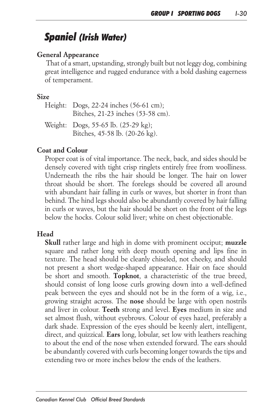# *Spaniel (Irish Water)*

## *General Appearance*

 *That of a smart, upstanding, strongly built but not leggy dog, combining great intelligence and rugged endurance with a bold dashing eagerness of temperament.*

#### *Size*

| Height: Dogs, 22-24 inches (56-61 cm);<br>Bitches, 21-23 inches (53-58 cm). |
|-----------------------------------------------------------------------------|
| Weight: Dogs, 55-65 lb. (25-29 kg);<br>Bitches, 45-58 lb. (20-26 kg).       |

# *Coat and Colour*

Proper coat is of vital importance. The neck, back, and sides should be *densely covered with tight crisp ringlets entirely free from woolliness.*  Underneath the ribs the hair should be longer. The hair on lower *throat should be short. The forelegs should be covered all around*  with abundant hair falling in curls or waves, but shorter in front than *behind. The hind legs should also be abundantly covered by hair falling in curls or waves, but the hair should be short on the front of the legs below the hocks. Colour solid liver; white on chest objectionable.*

# *Head*

*Skull rather large and high in dome with prominent occiput; muzzle* square and rather long with deep mouth opening and lips fine in *texture. The head should be cleanly chiseled, not cheeky, and should not present a short wedge-shaped appearance. Hair on face should be short and smooth. Topknot, a characteristic of the true breed,*  should consist of long loose curls growing down into a well-defined *peak between the eyes and should not be in the form of a wig, i.e., growing straight across. The nose should be large with open nostrils and liver in colour. Teeth strong and level. Eyes medium in size and set almost flush, without eyebrows. Colour of eyes hazel, preferably a*  dark shade. Expression of the eyes should be keenly alert, intelligent, *direct, and quizzical. Ears long, lobular, set low with leathers reaching*  to about the end of the nose when extended forward. The ears should *be abundantly covered with curls becoming longer towards the tips and extending two or more inches below the ends of the leathers.*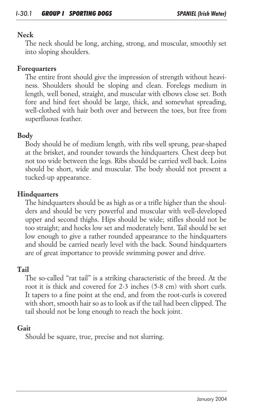#### *Neck*

*The neck should be long, arching, strong, and muscular, smoothly set into sloping shoulders.*

#### *Forequarters*

*The entire front should give the impression of strength without heavi*ness. Shoulders should be sloping and clean. Forelegs medium in *length, well boned, straight, and muscular with elbows close set. Both*  fore and hind feet should be large, thick, and somewhat spreading, *well-clothed with hair both over and between the toes, but free from superfluous feather.*

## *Body*

*Body should be of medium length, with ribs well sprung, pear-shaped at the brisket, and rounder towards the hindquarters. Chest deep but not too wide between the legs. Ribs should be carried well back. Loins should be short, wide and muscular. The body should not present a tucked-up appearance.*

# *Hindquarters*

*The hindquarters should be as high as or a trifle higher than the shoul*ders and should be very powerful and muscular with well-developed upper and second thighs. Hips should be wide; stifles should not be *too straight; and hocks low set and moderately bent. Tail should be set low enough to give a rather rounded appearance to the hindquarters and should be carried nearly level with the back. Sound hindquarters are of great importance to provide swimming power and drive.*

## *Tail*

The so-called "rat tail" is a striking characteristic of the breed. At the *root it is thick and covered for 2-3 inches (5-8 cm) with short curls. It tapers to a fine point at the end, and from the root-curls is covered with short, smooth hair so as to look as if the tail had been clipped. The tail should not be long enough to reach the hock joint.*

## *Gait*

*Should be square, true, precise and not slurring.*